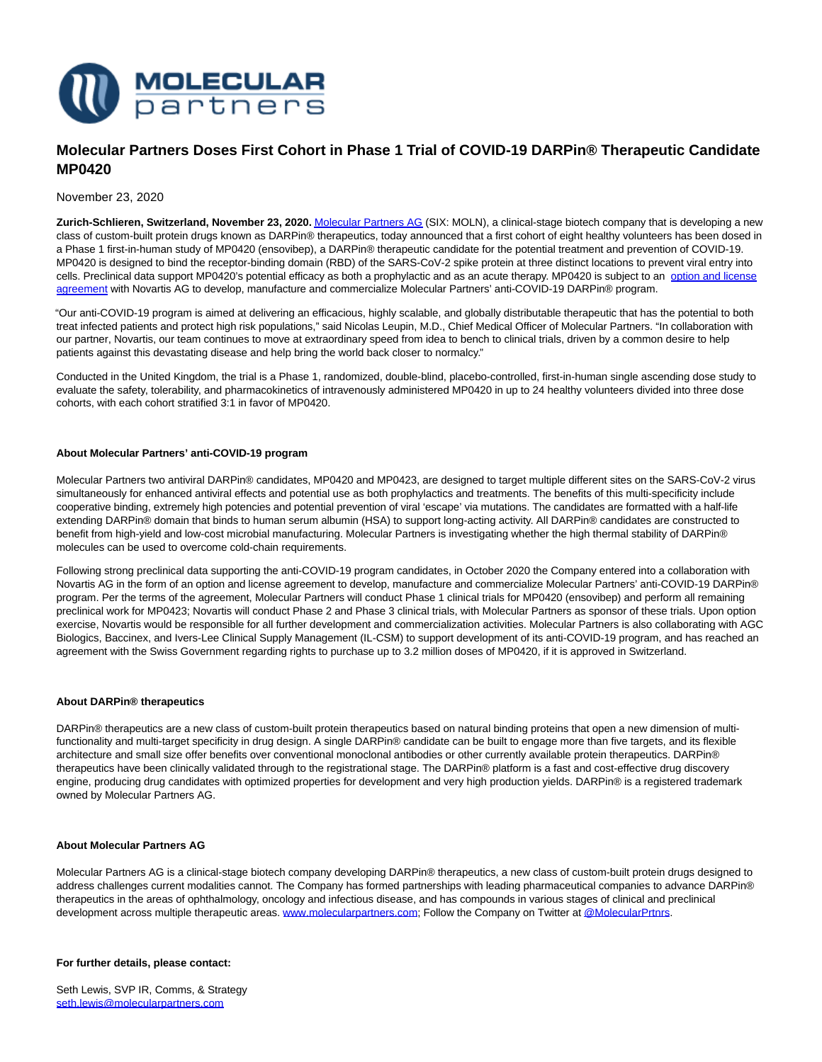

# **Molecular Partners Doses First Cohort in Phase 1 Trial of COVID-19 DARPin® Therapeutic Candidate MP0420**

## November 23, 2020

**Zurich-Schlieren, Switzerland, November 23, 2020.** [Molecular Partners AG \(](https://www.molecularpartners.com/)SIX: MOLN), a clinical-stage biotech company that is developing a new class of custom-built protein drugs known as DARPin® therapeutics, today announced that a first cohort of eight healthy volunteers has been dosed in a Phase 1 first-in-human study of MP0420 (ensovibep), a DARPin® therapeutic candidate for the potential treatment and prevention of COVID-19. MP0420 is designed to bind the receptor-binding domain (RBD) of the SARS-CoV-2 spike protein at three distinct locations to prevent viral entry into cells. Preclinical data support MP0420's potential efficacy as both a prophylactic and as an acute therapy. MP0420 is subject to an [option and license](https://www.molecularpartners.com/molecular-partners-announces-collaboration-with-novartis-to-develop-two-darpin-therapies-designed-for-potential-use-against-covid-19/) agreement with Novartis AG to develop, manufacture and commercialize Molecular Partners' anti-COVID-19 DARPin® program.

"Our anti-COVID-19 program is aimed at delivering an efficacious, highly scalable, and globally distributable therapeutic that has the potential to both treat infected patients and protect high risk populations," said Nicolas Leupin, M.D., Chief Medical Officer of Molecular Partners. "In collaboration with our partner, Novartis, our team continues to move at extraordinary speed from idea to bench to clinical trials, driven by a common desire to help patients against this devastating disease and help bring the world back closer to normalcy."

Conducted in the United Kingdom, the trial is a Phase 1, randomized, double-blind, placebo-controlled, first-in-human single ascending dose study to evaluate the safety, tolerability, and pharmacokinetics of intravenously administered MP0420 in up to 24 healthy volunteers divided into three dose cohorts, with each cohort stratified 3:1 in favor of MP0420.

#### **About Molecular Partners' anti-COVID-19 program**

Molecular Partners two antiviral DARPin® candidates, MP0420 and MP0423, are designed to target multiple different sites on the SARS-CoV-2 virus simultaneously for enhanced antiviral effects and potential use as both prophylactics and treatments. The benefits of this multi-specificity include cooperative binding, extremely high potencies and potential prevention of viral 'escape' via mutations. The candidates are formatted with a half-life extending DARPin® domain that binds to human serum albumin (HSA) to support long-acting activity. All DARPin® candidates are constructed to benefit from high-yield and low-cost microbial manufacturing. Molecular Partners is investigating whether the high thermal stability of DARPin® molecules can be used to overcome cold-chain requirements.

Following strong preclinical data supporting the anti-COVID-19 program candidates, in October 2020 the Company entered into a collaboration with Novartis AG in the form of an option and license agreement to develop, manufacture and commercialize Molecular Partners' anti-COVID-19 DARPin® program. Per the terms of the agreement, Molecular Partners will conduct Phase 1 clinical trials for MP0420 (ensovibep) and perform all remaining preclinical work for MP0423; Novartis will conduct Phase 2 and Phase 3 clinical trials, with Molecular Partners as sponsor of these trials. Upon option exercise, Novartis would be responsible for all further development and commercialization activities. Molecular Partners is also collaborating with AGC Biologics, Baccinex, and Ivers-Lee Clinical Supply Management (IL-CSM) to support development of its anti-COVID-19 program, and has reached an agreement with the Swiss Government regarding rights to purchase up to 3.2 million doses of MP0420, if it is approved in Switzerland.

#### **About DARPin® therapeutics**

DARPin® therapeutics are a new class of custom-built protein therapeutics based on natural binding proteins that open a new dimension of multifunctionality and multi-target specificity in drug design. A single DARPin® candidate can be built to engage more than five targets, and its flexible architecture and small size offer benefits over conventional monoclonal antibodies or other currently available protein therapeutics. DARPin® therapeutics have been clinically validated through to the registrational stage. The DARPin® platform is a fast and cost-effective drug discovery engine, producing drug candidates with optimized properties for development and very high production yields. DARPin® is a registered trademark owned by Molecular Partners AG.

#### **About Molecular Partners AG**

Molecular Partners AG is a clinical-stage biotech company developing DARPin® therapeutics, a new class of custom-built protein drugs designed to address challenges current modalities cannot. The Company has formed partnerships with leading pharmaceutical companies to advance DARPin® therapeutics in the areas of ophthalmology, oncology and infectious disease, and has compounds in various stages of clinical and preclinical development across multiple therapeutic areas. [www.molecularpartners.com;](https://www.molecularpartners.com/) Follow the Company on Twitter a[t @MolecularPrtnrs.](https://twitter.com/MolecularPrtnrs)

#### **For further details, please contact:**

Seth Lewis, SVP IR, Comms, & Strategy [seth.lewis@molecularpartners.com](mailto:seth.lewis@molecularpartners.com)